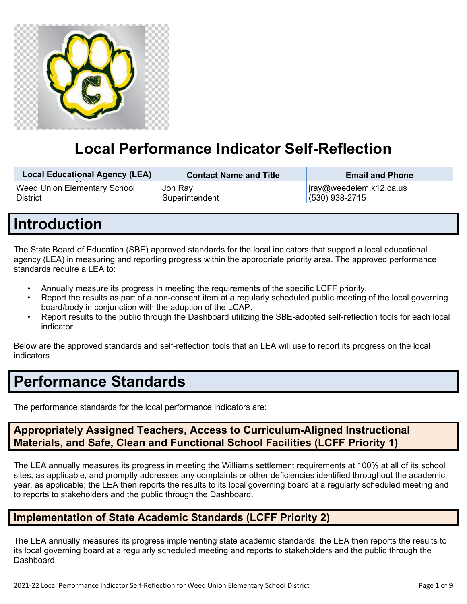

# **Local Performance Indicator Self-Reflection**

| <b>Local Educational Agency (LEA)</b><br>__ | <b>Contact Name and Title</b> | <b>Email and Phone</b>  |
|---------------------------------------------|-------------------------------|-------------------------|
| Weed Union Elementary School                | , Jon Ray                     | jray@weedelem.k12.ca.us |
| <b>District</b>                             | Superintendent                | $(530)$ 938-2715        |

## **Introduction**

The State Board of Education (SBE) approved standards for the local indicators that support a local educational agency (LEA) in measuring and reporting progress within the appropriate priority area. The approved performance standards require a LEA to:

- Annually measure its progress in meeting the requirements of the specific LCFF priority.
- Report the results as part of a non-consent item at a regularly scheduled public meeting of the local governing board/body in conjunction with the adoption of the LCAP.
- Report results to the public through the Dashboard utilizing the SBE-adopted self-reflection tools for each local indicator.

Below are the approved standards and self-reflection tools that an LEA will use to report its progress on the local indicators.

## **Performance Standards**

The performance standards for the local performance indicators are:

## **Appropriately Assigned Teachers, Access to Curriculum-Aligned Instructional Materials, and Safe, Clean and Functional School Facilities (LCFF Priority 1)**

The LEA annually measures its progress in meeting the Williams settlement requirements at 100% at all of its school sites, as applicable, and promptly addresses any complaints or other deficiencies identified throughout the academic year, as applicable; the LEA then reports the results to its local governing board at a regularly scheduled meeting and to reports to stakeholders and the public through the Dashboard.

## **Implementation of State Academic Standards (LCFF Priority 2)**

The LEA annually measures its progress implementing state academic standards; the LEA then reports the results to its local governing board at a regularly scheduled meeting and reports to stakeholders and the public through the Dashboard.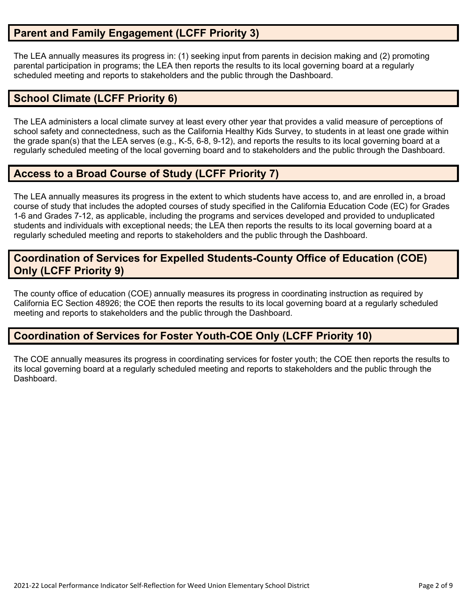## **Parent and Family Engagement (LCFF Priority 3)**

The LEA annually measures its progress in: (1) seeking input from parents in decision making and (2) promoting parental participation in programs; the LEA then reports the results to its local governing board at a regularly scheduled meeting and reports to stakeholders and the public through the Dashboard.

### **School Climate (LCFF Priority 6)**

The LEA administers a local climate survey at least every other year that provides a valid measure of perceptions of school safety and connectedness, such as the California Healthy Kids Survey, to students in at least one grade within the grade span(s) that the LEA serves (e.g., K-5, 6-8, 9-12), and reports the results to its local governing board at a regularly scheduled meeting of the local governing board and to stakeholders and the public through the Dashboard.

## **Access to a Broad Course of Study (LCFF Priority 7)**

The LEA annually measures its progress in the extent to which students have access to, and are enrolled in, a broad course of study that includes the adopted courses of study specified in the California Education Code (EC) for Grades 1-6 and Grades 7-12, as applicable, including the programs and services developed and provided to unduplicated students and individuals with exceptional needs; the LEA then reports the results to its local governing board at a regularly scheduled meeting and reports to stakeholders and the public through the Dashboard.

### **Coordination of Services for Expelled Students-County Office of Education (COE) Only (LCFF Priority 9)**

The county office of education (COE) annually measures its progress in coordinating instruction as required by California EC Section 48926; the COE then reports the results to its local governing board at a regularly scheduled meeting and reports to stakeholders and the public through the Dashboard.

## **Coordination of Services for Foster Youth-COE Only (LCFF Priority 10)**

The COE annually measures its progress in coordinating services for foster youth; the COE then reports the results to its local governing board at a regularly scheduled meeting and reports to stakeholders and the public through the Dashboard.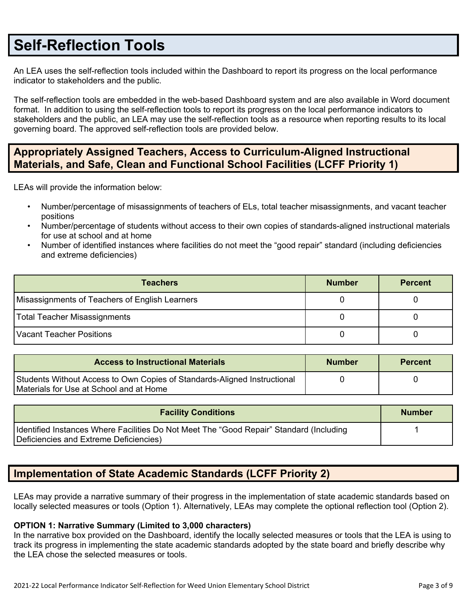## **Self-Reflection Tools**

An LEA uses the self-reflection tools included within the Dashboard to report its progress on the local performance indicator to stakeholders and the public.

The self-reflection tools are embedded in the web-based Dashboard system and are also available in Word document format. In addition to using the self-reflection tools to report its progress on the local performance indicators to stakeholders and the public, an LEA may use the self-reflection tools as a resource when reporting results to its local governing board. The approved self-reflection tools are provided below.

## **Appropriately Assigned Teachers, Access to Curriculum-Aligned Instructional Materials, and Safe, Clean and Functional School Facilities (LCFF Priority 1)**

LEAs will provide the information below:

- Number/percentage of misassignments of teachers of ELs, total teacher misassignments, and vacant teacher positions
- Number/percentage of students without access to their own copies of standards-aligned instructional materials for use at school and at home
- Number of identified instances where facilities do not meet the "good repair" standard (including deficiencies and extreme deficiencies)

| <b>Teachers</b>                                | <b>Number</b> | <b>Percent</b> |
|------------------------------------------------|---------------|----------------|
| Misassignments of Teachers of English Learners |               |                |
| Total Teacher Misassignments                   |               |                |
| Vacant Teacher Positions                       |               |                |

| <b>Access to Instructional Materials</b>                                                                            | <b>Number</b> | <b>Percent</b> |
|---------------------------------------------------------------------------------------------------------------------|---------------|----------------|
| Students Without Access to Own Copies of Standards-Aligned Instructional<br>Materials for Use at School and at Home |               |                |

| <b>Facility Conditions</b>                                                                                                        | <b>Number</b> |
|-----------------------------------------------------------------------------------------------------------------------------------|---------------|
| Identified Instances Where Facilities Do Not Meet The "Good Repair" Standard (Including<br>Deficiencies and Extreme Deficiencies) |               |

## **Implementation of State Academic Standards (LCFF Priority 2)**

LEAs may provide a narrative summary of their progress in the implementation of state academic standards based on locally selected measures or tools (Option 1). Alternatively, LEAs may complete the optional reflection tool (Option 2).

#### **OPTION 1: Narrative Summary (Limited to 3,000 characters)**

In the narrative box provided on the Dashboard, identify the locally selected measures or tools that the LEA is using to track its progress in implementing the state academic standards adopted by the state board and briefly describe why the LEA chose the selected measures or tools.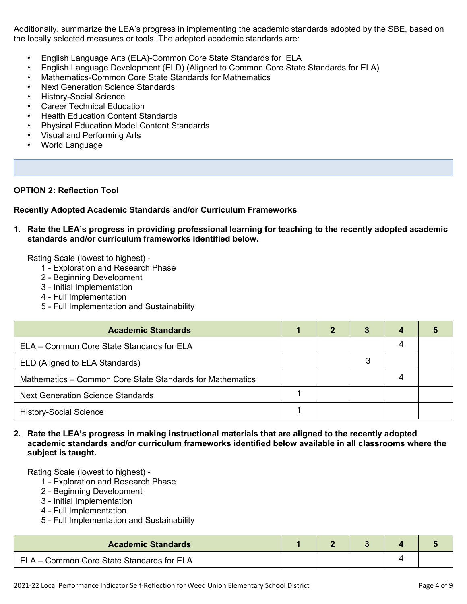Additionally, summarize the LEA's progress in implementing the academic standards adopted by the SBE, based on the locally selected measures or tools. The adopted academic standards are:

- English Language Arts (ELA)-Common Core State Standards for ELA
- English Language Development (ELD) (Aligned to Common Core State Standards for ELA)
- Mathematics-Common Core State Standards for Mathematics
- Next Generation Science Standards
- History-Social Science
- **Career Technical Education**
- Health Education Content Standards
- Physical Education Model Content Standards
- Visual and Performing Arts
- World Language

#### **OPTION 2: Reflection Tool**

#### **Recently Adopted Academic Standards and/or Curriculum Frameworks**

**1. Rate the LEA's progress in providing professional learning for teaching to the recently adopted academic standards and/or curriculum frameworks identified below.**

Rating Scale (lowest to highest) -

- 1 Exploration and Research Phase
- 2 Beginning Development
- 3 Initial Implementation
- 4 Full Implementation
- 5 Full Implementation and Sustainability

| <b>Academic Standards</b>                                 | 2 |   |  |
|-----------------------------------------------------------|---|---|--|
| ELA - Common Core State Standards for ELA                 |   |   |  |
| ELD (Aligned to ELA Standards)                            |   | 3 |  |
| Mathematics – Common Core State Standards for Mathematics |   |   |  |
| <b>Next Generation Science Standards</b>                  |   |   |  |
| <b>History-Social Science</b>                             |   |   |  |

#### **2. Rate the LEA's progress in making instructional materials that are aligned to the recently adopted academic standards and/or curriculum frameworks identified below available in all classrooms where the subject is taught.**

- 1 Exploration and Research Phase
- 2 Beginning Development
- 3 Initial Implementation
- 4 Full Implementation
- 5 Full Implementation and Sustainability

| <b>Academic Standards</b>                 |  |  |  |
|-------------------------------------------|--|--|--|
| ELA - Common Core State Standards for ELA |  |  |  |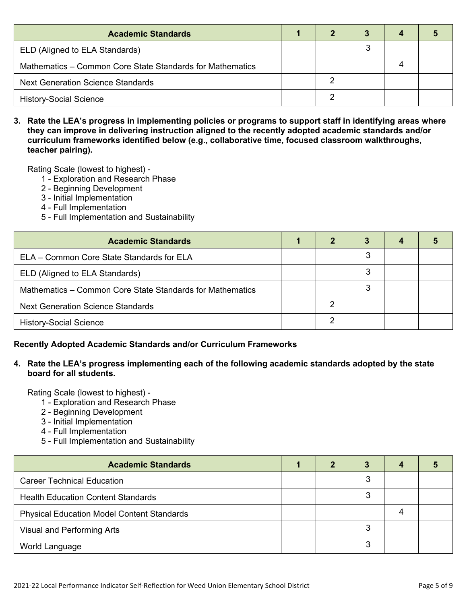| <b>Academic Standards</b>                                 |  |  |  |
|-----------------------------------------------------------|--|--|--|
| ELD (Aligned to ELA Standards)                            |  |  |  |
| Mathematics – Common Core State Standards for Mathematics |  |  |  |
| <b>Next Generation Science Standards</b>                  |  |  |  |
| <b>History-Social Science</b>                             |  |  |  |

3. Rate the LEA's progress in implementing policies or programs to support staff in identifying areas where **they can improve in delivering instruction aligned to the recently adopted academic standards and/or curriculum frameworks identified below (e.g., collaborative time, focused classroom walkthroughs, teacher pairing).**

Rating Scale (lowest to highest) -

- 1 Exploration and Research Phase
- 2 Beginning Development
- 3 Initial Implementation
- 4 Full Implementation
- 5 Full Implementation and Sustainability

| <b>Academic Standards</b>                                 | 2 | 3 | 4 |  |
|-----------------------------------------------------------|---|---|---|--|
| ELA – Common Core State Standards for ELA                 |   | 3 |   |  |
| ELD (Aligned to ELA Standards)                            |   | 3 |   |  |
| Mathematics - Common Core State Standards for Mathematics |   | 3 |   |  |
| <b>Next Generation Science Standards</b>                  |   |   |   |  |
| <b>History-Social Science</b>                             | C |   |   |  |

#### **Recently Adopted Academic Standards and/or Curriculum Frameworks**

#### **4. Rate the LEA's progress implementing each of the following academic standards adopted by the state board for all students.**

- 1 Exploration and Research Phase
- 2 Beginning Development
- 3 Initial Implementation
- 4 Full Implementation
- 5 Full Implementation and Sustainability

| <b>Academic Standards</b>                         |  | 3 | 4 |  |
|---------------------------------------------------|--|---|---|--|
| <b>Career Technical Education</b>                 |  |   |   |  |
| <b>Health Education Content Standards</b>         |  | 3 |   |  |
| <b>Physical Education Model Content Standards</b> |  |   |   |  |
| Visual and Performing Arts                        |  | 3 |   |  |
| World Language                                    |  | ว |   |  |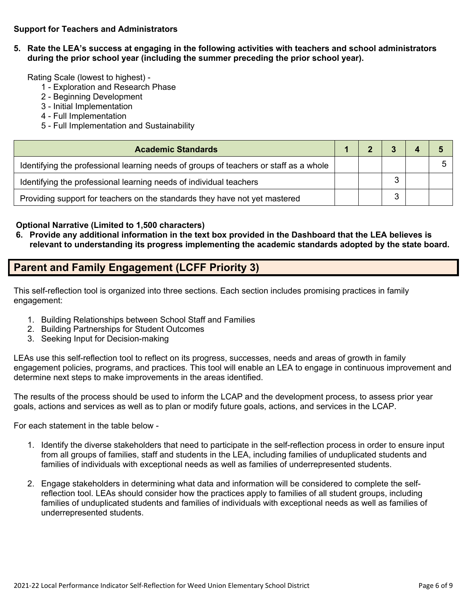#### **Support for Teachers and Administrators**

**5. Rate the LEA's success at engaging in the following activities with teachers and school administrators during the prior school year (including the summer preceding the prior school year).**

Rating Scale (lowest to highest) -

- 1 Exploration and Research Phase
- 2 Beginning Development
- 3 Initial Implementation
- 4 Full Implementation
- 5 Full Implementation and Sustainability

| <b>Academic Standards</b>                                                             |  |  |  |
|---------------------------------------------------------------------------------------|--|--|--|
| Identifying the professional learning needs of groups of teachers or staff as a whole |  |  |  |
| Identifying the professional learning needs of individual teachers                    |  |  |  |
| Providing support for teachers on the standards they have not yet mastered            |  |  |  |

#### **Optional Narrative (Limited to 1,500 characters)**

6. Provide any additional information in the text box provided in the Dashboard that the LEA believes is **relevant to understanding its progress implementing the academic standards adopted by the state board.**

### **Parent and Family Engagement (LCFF Priority 3)**

This self-reflection tool is organized into three sections. Each section includes promising practices in family engagement:

- 1. Building Relationships between School Staff and Families
- 2. Building Partnerships for Student Outcomes
- 3. Seeking Input for Decision-making

LEAs use this self-reflection tool to reflect on its progress, successes, needs and areas of growth in family engagement policies, programs, and practices. This tool will enable an LEA to engage in continuous improvement and determine next steps to make improvements in the areas identified.

The results of the process should be used to inform the LCAP and the development process, to assess prior year goals, actions and services as well as to plan or modify future goals, actions, and services in the LCAP.

For each statement in the table below -

- 1. Identify the diverse stakeholders that need to participate in the self-reflection process in order to ensure input from all groups of families, staff and students in the LEA, including families of unduplicated students and families of individuals with exceptional needs as well as families of underrepresented students.
- 2. Engage stakeholders in determining what data and information will be considered to complete the selfreflection tool. LEAs should consider how the practices apply to families of all student groups, including families of unduplicated students and families of individuals with exceptional needs as well as families of underrepresented students.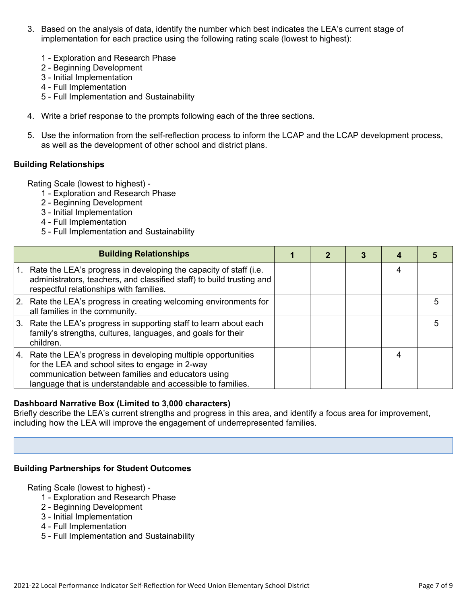- 3. Based on the analysis of data, identify the number which best indicates the LEA's current stage of implementation for each practice using the following rating scale (lowest to highest):
	- 1 Exploration and Research Phase
	- 2 Beginning Development
	- 3 Initial Implementation
	- 4 Full Implementation
	- 5 Full Implementation and Sustainability
- 4. Write a brief response to the prompts following each of the three sections.
- 5. Use the information from the self-reflection process to inform the LCAP and the LCAP development process, as well as the development of other school and district plans.

#### **Building Relationships**

Rating Scale (lowest to highest) -

- 1 Exploration and Research Phase
- 2 Beginning Development
- 3 Initial Implementation
- 4 Full Implementation
- 5 Full Implementation and Sustainability

|    | <b>Building Relationships</b>                                                                                                                                                                                                           | 2 |   |   |
|----|-----------------------------------------------------------------------------------------------------------------------------------------------------------------------------------------------------------------------------------------|---|---|---|
| 1. | Rate the LEA's progress in developing the capacity of staff (i.e.<br>administrators, teachers, and classified staff) to build trusting and<br>respectful relationships with families.                                                   |   | 4 |   |
|    | 2. Rate the LEA's progress in creating welcoming environments for<br>all families in the community.                                                                                                                                     |   |   |   |
|    | 3. Rate the LEA's progress in supporting staff to learn about each<br>family's strengths, cultures, languages, and goals for their<br>children.                                                                                         |   |   | h |
|    | 4. Rate the LEA's progress in developing multiple opportunities<br>for the LEA and school sites to engage in 2-way<br>communication between families and educators using<br>language that is understandable and accessible to families. |   |   |   |

#### **Dashboard Narrative Box (Limited to 3,000 characters)**

Briefly describe the LEA's current strengths and progress in this area, and identify a focus area for improvement, including how the LEA will improve the engagement of underrepresented families.

#### **Building Partnerships for Student Outcomes**

- 1 Exploration and Research Phase
- 2 Beginning Development
- 3 Initial Implementation
- 4 Full Implementation
- 5 Full Implementation and Sustainability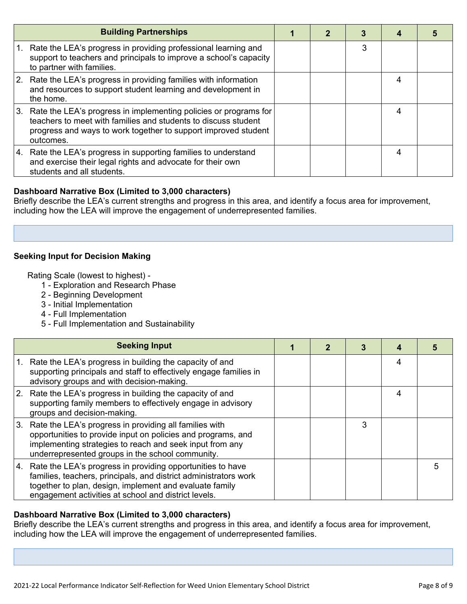|    | <b>Building Partnerships</b>                                                                                                                                                                                      |  |   |   |  |
|----|-------------------------------------------------------------------------------------------------------------------------------------------------------------------------------------------------------------------|--|---|---|--|
|    | Rate the LEA's progress in providing professional learning and<br>support to teachers and principals to improve a school's capacity<br>to partner with families.                                                  |  | 3 |   |  |
|    | 2. Rate the LEA's progress in providing families with information<br>and resources to support student learning and development in<br>the home.                                                                    |  |   | 4 |  |
| 3. | Rate the LEA's progress in implementing policies or programs for<br>teachers to meet with families and students to discuss student<br>progress and ways to work together to support improved student<br>outcomes. |  |   | 4 |  |
|    | 4. Rate the LEA's progress in supporting families to understand<br>and exercise their legal rights and advocate for their own<br>students and all students.                                                       |  |   | 4 |  |

#### **Dashboard Narrative Box (Limited to 3,000 characters)**

Briefly describe the LEA's current strengths and progress in this area, and identify a focus area for improvement, including how the LEA will improve the engagement of underrepresented families.

#### **Seeking Input for Decision Making**

Rating Scale (lowest to highest) -

- 1 Exploration and Research Phase
- 2 Beginning Development
- 3 Initial Implementation
- 4 Full Implementation
- 5 Full Implementation and Sustainability

| <b>Seeking Input</b>                                                                                                                                                                                                                                 |  |   |   |   |
|------------------------------------------------------------------------------------------------------------------------------------------------------------------------------------------------------------------------------------------------------|--|---|---|---|
| Rate the LEA's progress in building the capacity of and<br>supporting principals and staff to effectively engage families in<br>advisory groups and with decision-making.                                                                            |  |   | 4 |   |
| 2. Rate the LEA's progress in building the capacity of and<br>supporting family members to effectively engage in advisory<br>groups and decision-making.                                                                                             |  |   | 4 |   |
| 3. Rate the LEA's progress in providing all families with<br>opportunities to provide input on policies and programs, and<br>implementing strategies to reach and seek input from any<br>underrepresented groups in the school community.            |  | 3 |   |   |
| 4. Rate the LEA's progress in providing opportunities to have<br>families, teachers, principals, and district administrators work<br>together to plan, design, implement and evaluate family<br>engagement activities at school and district levels. |  |   |   | 5 |

#### **Dashboard Narrative Box (Limited to 3,000 characters)**

Briefly describe the LEA's current strengths and progress in this area, and identify a focus area for improvement, including how the LEA will improve the engagement of underrepresented families.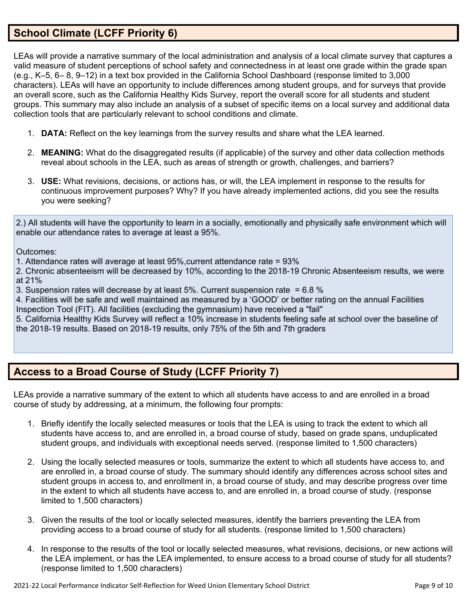## **School Climate (LCFF Priority 6)**

LEAs will provide a narrative summary of the local administration and analysis of a local climate survey that captures a valid measure of student perceptions of school safety and connectedness in at least one grade within the grade span (e.g., K–5, 6– 8, 9–12) in a text box provided in the California School Dashboard (response limited to 3,000 characters). LEAs will have an opportunity to include differences among student groups, and for surveys that provide an overall score, such as the California Healthy Kids Survey, report the overall score for all students and student groups. This summary may also include an analysis of a subset of specific items on a local survey and additional data collection tools that are particularly relevant to school conditions and climate.

- 1. **DATA:** Reflect on the key learnings from the survey results and share what the LEA learned.
- 2. **MEANING:** What do the disaggregated results (if applicable) of the survey and other data collection methods reveal about schools in the LEA, such as areas of strength or growth, challenges, and barriers?
- 3. **USE:** What revisions, decisions, or actions has, or will, the LEA implement in response to the results for continuous improvement purposes? Why? If you have already implemented actions, did you see the results you were seeking?

2.) All students will have the opportunity to learn in a socially, emotionally and physically safe environment which will enable our attendance rates to average at least a 95%.

Outcomes:

1. Attendance rates will average at least 95%,current attendance rate = 93%

2. Chronic absenteeism will be decreased by 10%, according to the 2018-19 Chronic Absenteeism results, we were at 21%

3. Suspension rates will decrease by at least 5%. Current suspension rate = 6.8 %

4. Facilities will be safe and well maintained as measured by a 'GOOD' or better rating on the annual Facilities Inspection Tool (FIT). All facilities (excluding the gymnasium) have received a "fail"

5. California Healthy Kids Survey will reflect a 10% increase in students feeling safe at school over the baseline of the 2018-19 results. Based on 2018-19 results, only 75% of the 5th and 7th graders

## **Access to a Broad Course of Study (LCFF Priority 7)**

LEAs provide a narrative summary of the extent to which all students have access to and are enrolled in a broad course of study by addressing, at a minimum, the following four prompts:

- 1. Briefly identify the locally selected measures or tools that the LEA is using to track the extent to which all students have access to, and are enrolled in, a broad course of study, based on grade spans, unduplicated student groups, and individuals with exceptional needs served. (response limited to 1,500 characters)
- 2. Using the locally selected measures or tools, summarize the extent to which all students have access to, and are enrolled in, a broad course of study. The summary should identify any differences across school sites and student groups in access to, and enrollment in, a broad course of study, and may describe progress over time in the extent to which all students have access to, and are enrolled in, a broad course of study. (response limited to 1,500 characters)
- 3. Given the results of the tool or locally selected measures, identify the barriers preventing the LEA from providing access to a broad course of study for all students. (response limited to 1,500 characters)
- 4. In response to the results of the tool or locally selected measures, what revisions, decisions, or new actions will the LEA implement, or has the LEA implemented, to ensure access to a broad course of study for all students? (response limited to 1,500 characters)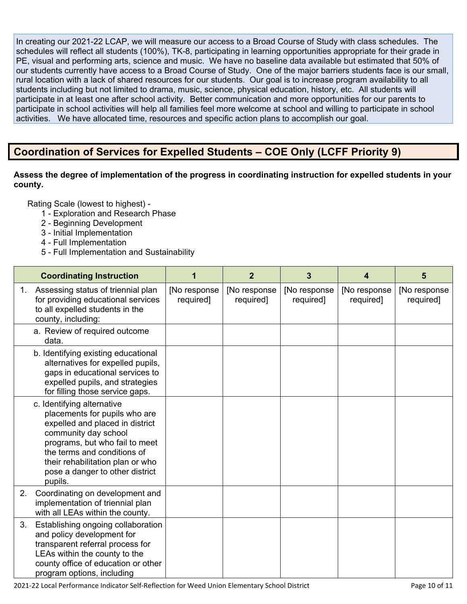In creating our 2021-22 LCAP, we will measure our access to a Broad Course of Study with class schedules. The schedules will reflect all students (100%), TK-8, participating in learning opportunities appropriate for their grade in PE, visual and performing arts, science and music. We have no baseline data available but estimated that 50% of our students currently have access to a Broad Course of Study. One of the major barriers students face is our small, rural location with a lack of shared resources for our students. Our goal is to increase program availability to all students including but not limited to drama, music, science, physical education, history, etc. All students will participate in at least one after school activity. Better communication and more opportunities for our parents to participate in school activities will help all families feel more welcome at school and willing to participate in school activities. We have allocated time, resources and specific action plans to accomplish our goal.

## **Coordination of Services for Expelled Students – COE Only (LCFF Priority 9)**

#### **Assess the degree of implementation of the progress in coordinating instruction for expelled students in your county.**

- 1 Exploration and Research Phase
- 2 Beginning Development
- 3 Initial Implementation
- 4 Full Implementation
- 5 Full Implementation and Sustainability

|    | <b>Coordinating Instruction</b>                                                                                                                                                                                                                                           |                           | $\overline{2}$            | 3                         | 4                         | 5                         |
|----|---------------------------------------------------------------------------------------------------------------------------------------------------------------------------------------------------------------------------------------------------------------------------|---------------------------|---------------------------|---------------------------|---------------------------|---------------------------|
| 1. | Assessing status of triennial plan<br>for providing educational services<br>to all expelled students in the<br>county, including:                                                                                                                                         | [No response<br>required] | [No response<br>required] | [No response<br>required] | [No response<br>required] | [No response<br>required] |
|    | a. Review of required outcome<br>data.                                                                                                                                                                                                                                    |                           |                           |                           |                           |                           |
|    | b. Identifying existing educational<br>alternatives for expelled pupils,<br>gaps in educational services to<br>expelled pupils, and strategies<br>for filling those service gaps.                                                                                         |                           |                           |                           |                           |                           |
|    | c. Identifying alternative<br>placements for pupils who are<br>expelled and placed in district<br>community day school<br>programs, but who fail to meet<br>the terms and conditions of<br>their rehabilitation plan or who<br>pose a danger to other district<br>pupils. |                           |                           |                           |                           |                           |
| 2. | Coordinating on development and<br>implementation of triennial plan<br>with all LEAs within the county.                                                                                                                                                                   |                           |                           |                           |                           |                           |
| 3. | Establishing ongoing collaboration<br>and policy development for<br>transparent referral process for<br>LEAs within the county to the<br>county office of education or other<br>program options, including                                                                |                           |                           |                           |                           |                           |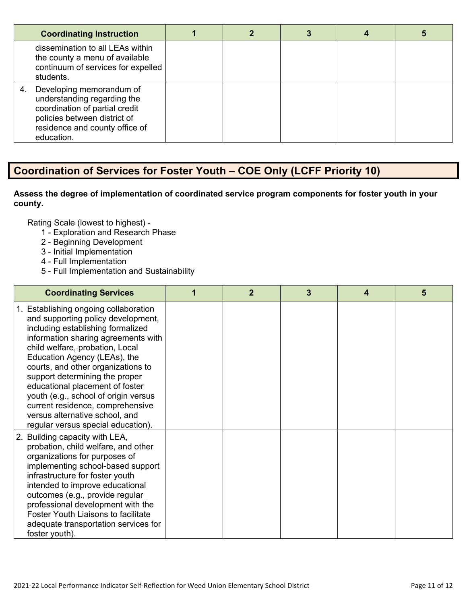| <b>Coordinating Instruction</b>                                                                                                                                           |  |  |  |
|---------------------------------------------------------------------------------------------------------------------------------------------------------------------------|--|--|--|
| dissemination to all LEAs within<br>the county a menu of available<br>continuum of services for expelled<br>students.                                                     |  |  |  |
| Developing memorandum of<br>understanding regarding the<br>coordination of partial credit<br>policies between district of<br>residence and county office of<br>education. |  |  |  |

## **Coordination of Services for Foster Youth – COE Only (LCFF Priority 10)**

#### **Assess the degree of implementation of coordinated service program components for foster youth in your county.**

- 1 Exploration and Research Phase
- 2 Beginning Development
- 3 Initial Implementation
- 4 Full Implementation
- 5 Full Implementation and Sustainability

| <b>Coordinating Services</b>                                                                                                                                                                                                                                                                                                                                                                                                                                                              | $\mathbf{2}$ | 3 | 4 | 5 |
|-------------------------------------------------------------------------------------------------------------------------------------------------------------------------------------------------------------------------------------------------------------------------------------------------------------------------------------------------------------------------------------------------------------------------------------------------------------------------------------------|--------------|---|---|---|
| 1. Establishing ongoing collaboration<br>and supporting policy development,<br>including establishing formalized<br>information sharing agreements with<br>child welfare, probation, Local<br>Education Agency (LEAs), the<br>courts, and other organizations to<br>support determining the proper<br>educational placement of foster<br>youth (e.g., school of origin versus<br>current residence, comprehensive<br>versus alternative school, and<br>regular versus special education). |              |   |   |   |
| 2. Building capacity with LEA,<br>probation, child welfare, and other<br>organizations for purposes of<br>implementing school-based support<br>infrastructure for foster youth<br>intended to improve educational<br>outcomes (e.g., provide regular<br>professional development with the<br>Foster Youth Liaisons to facilitate<br>adequate transportation services for<br>foster youth).                                                                                                |              |   |   |   |